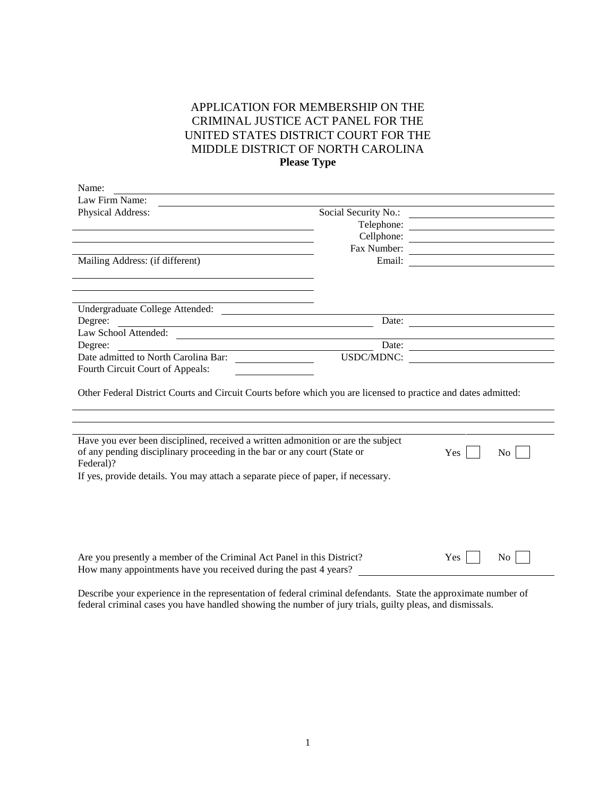## APPLICATION FOR MEMBERSHIP ON THE CRIMINAL JUSTICE ACT PANEL FOR THE UNITED STATES DISTRICT COURT FOR THE MIDDLE DISTRICT OF NORTH CAROLINA **Please Type**

| Name:                                                                                                                                                                     |                      |                                                                                           |                                                                                                                      |
|---------------------------------------------------------------------------------------------------------------------------------------------------------------------------|----------------------|-------------------------------------------------------------------------------------------|----------------------------------------------------------------------------------------------------------------------|
| Law Firm Name:                                                                                                                                                            |                      |                                                                                           |                                                                                                                      |
| Physical Address:                                                                                                                                                         | Social Security No.: |                                                                                           |                                                                                                                      |
|                                                                                                                                                                           | Telephone:           |                                                                                           |                                                                                                                      |
|                                                                                                                                                                           | Cellphone:           |                                                                                           |                                                                                                                      |
|                                                                                                                                                                           | Fax Number:          |                                                                                           |                                                                                                                      |
| Mailing Address: (if different)                                                                                                                                           | Email:               |                                                                                           |                                                                                                                      |
|                                                                                                                                                                           |                      |                                                                                           |                                                                                                                      |
|                                                                                                                                                                           |                      |                                                                                           |                                                                                                                      |
|                                                                                                                                                                           |                      |                                                                                           |                                                                                                                      |
| Undergraduate College Attended:                                                                                                                                           |                      |                                                                                           |                                                                                                                      |
| Degree:<br><u> 1989 - Johann Stein, fransk politik (d. 1989)</u>                                                                                                          | Date:                | the control of the control of the control of the control of the control of the control of |                                                                                                                      |
| Law School Attended:                                                                                                                                                      |                      |                                                                                           |                                                                                                                      |
| Degree:                                                                                                                                                                   | Date:                |                                                                                           | <u> 1980 - Johann Barn, mars ann an t-Amhain Aonaich an t-Aonaich an t-Aonaich ann an t-Aonaich ann an t-Aonaich</u> |
| Date admitted to North Carolina Bar:                                                                                                                                      | USDC/MDNC:           |                                                                                           |                                                                                                                      |
| Fourth Circuit Court of Appeals:                                                                                                                                          |                      |                                                                                           |                                                                                                                      |
| Other Federal District Courts and Circuit Courts before which you are licensed to practice and dates admitted:                                                            |                      |                                                                                           |                                                                                                                      |
|                                                                                                                                                                           |                      |                                                                                           |                                                                                                                      |
| Have you ever been disciplined, received a written admonition or are the subject<br>of any pending disciplinary proceeding in the bar or any court (State or<br>Federal)? |                      | Yes                                                                                       | No.                                                                                                                  |
| If yes, provide details. You may attach a separate piece of paper, if necessary.                                                                                          |                      |                                                                                           |                                                                                                                      |
|                                                                                                                                                                           |                      |                                                                                           |                                                                                                                      |
|                                                                                                                                                                           |                      |                                                                                           |                                                                                                                      |
|                                                                                                                                                                           |                      |                                                                                           |                                                                                                                      |
|                                                                                                                                                                           |                      |                                                                                           |                                                                                                                      |
|                                                                                                                                                                           |                      |                                                                                           |                                                                                                                      |
|                                                                                                                                                                           |                      |                                                                                           |                                                                                                                      |
| Are you presently a member of the Criminal Act Panel in this District?                                                                                                    |                      | Yes                                                                                       | N <sub>0</sub>                                                                                                       |
| How many appointments have you received during the past 4 years?                                                                                                          |                      |                                                                                           |                                                                                                                      |

Describe your experience in the representation of federal criminal defendants. State the approximate number of federal criminal cases you have handled showing the number of jury trials, guilty pleas, and dismissals.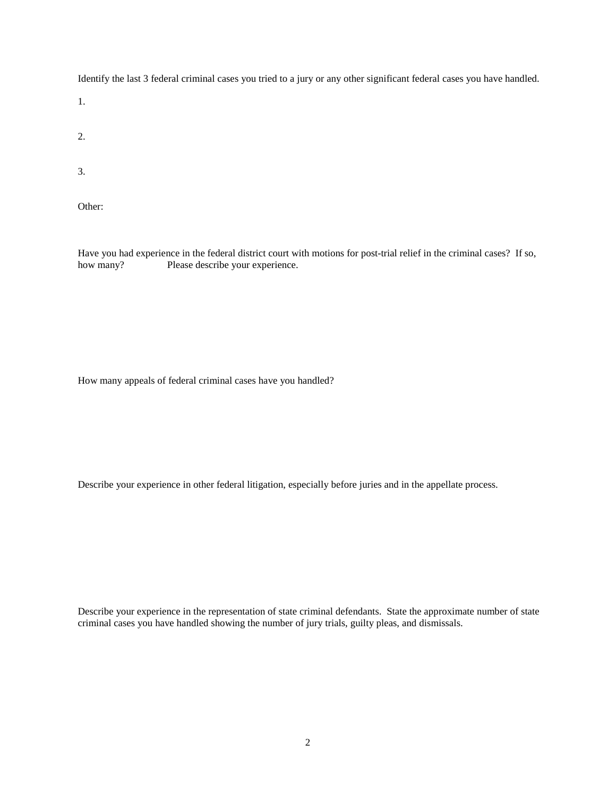Identify the last 3 federal criminal cases you tried to a jury or any other significant federal cases you have handled.

1.

2.

3.

Other:

Have you had experience in the federal district court with motions for post-trial relief in the criminal cases? If so, how many? Please describe your experience.

How many appeals of federal criminal cases have you handled?

Describe your experience in other federal litigation, especially before juries and in the appellate process.

Describe your experience in the representation of state criminal defendants. State the approximate number of state criminal cases you have handled showing the number of jury trials, guilty pleas, and dismissals.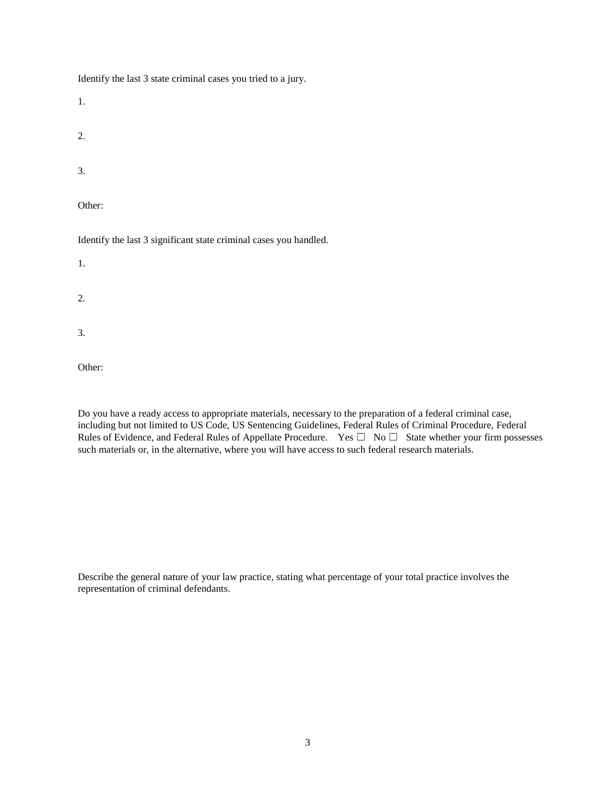Identify the last 3 state criminal cases you tried to a jury.

1.

2.

3.

Other:

Identify the last 3 significant state criminal cases you handled.

1.

2.

3.

Other:

Do you have a ready access to appropriate materials, necessary to the preparation of a federal criminal case, including but not limited to US Code, US Sentencing Guidelines, Federal Rules of Criminal Procedure, Federal Rules of Evidence, and Federal Rules of Appellate Procedure. Yes  $\square$  No  $\square$  State whether your firm possesses such materials or, in the alternative, where you will have access to such federal research materials.

Describe the general nature of your law practice, stating what percentage of your total practice involves the representation of criminal defendants.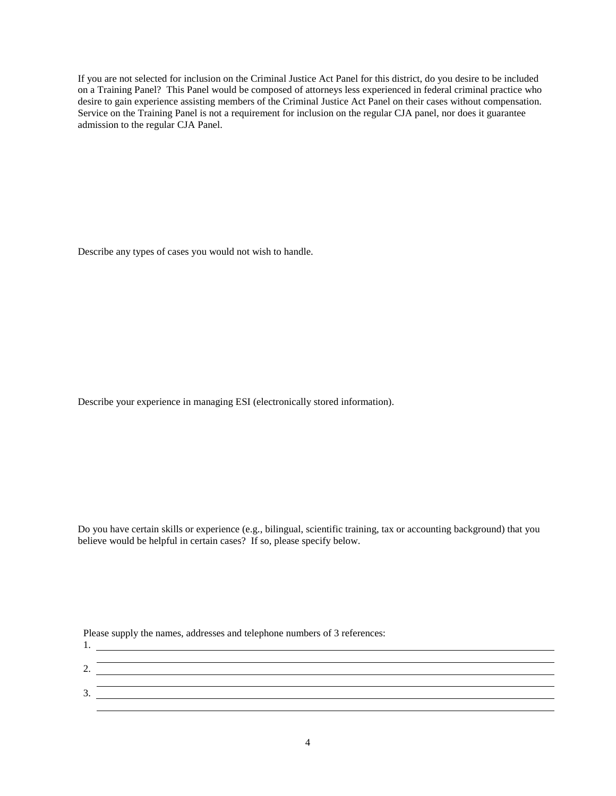If you are not selected for inclusion on the Criminal Justice Act Panel for this district, do you desire to be included on a Training Panel? This Panel would be composed of attorneys less experienced in federal criminal practice who desire to gain experience assisting members of the Criminal Justice Act Panel on their cases without compensation. Service on the Training Panel is not a requirement for inclusion on the regular CJA panel, nor does it guarantee admission to the regular CJA Panel.

Describe any types of cases you would not wish to handle.

Describe your experience in managing ESI (electronically stored information).

Do you have certain skills or experience (e.g., bilingual, scientific training, tax or accounting background) that you believe would be helpful in certain cases? If so, please specify below.

Please supply the names, addresses and telephone numbers of 3 references:

| <u>.</u>                 |  |
|--------------------------|--|
|                          |  |
| $\overline{\phantom{a}}$ |  |
|                          |  |